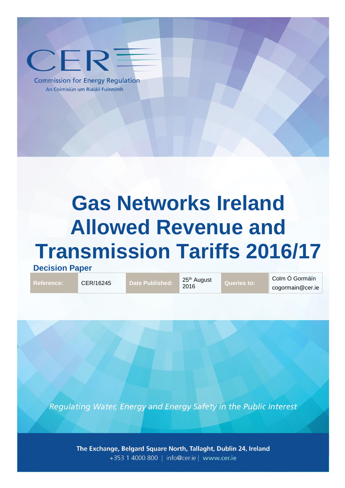

**Commission for Energy Regulation** An Coimisiún um Rialáil Fuinnimh

# **Gas Networks Ireland Allowed Revenue and Transmission Tariffs 2016/17**

**Decision Paper** 

Reference: **CER/16245** Date Published: 25<sup>th</sup> August

**Queries to:** 

Colm Ó Gormáín cogormain@cer.ie

Regulating Water, Energy and Energy Safety in the Public Interest

The Exchange, Belgard Square North, Tallaght, Dublin 24, Ireland +353 1 4000 800 | info@cer.ie | www.cer.ie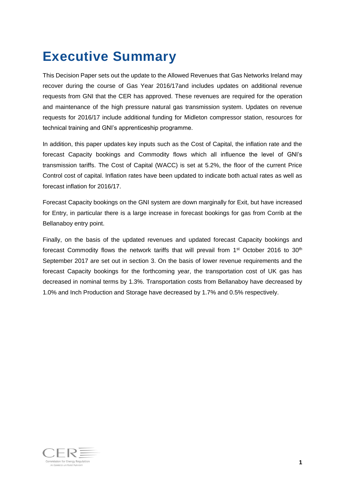## <span id="page-1-0"></span>**Executive Summary**

This Decision Paper sets out the update to the Allowed Revenues that Gas Networks Ireland may recover during the course of Gas Year 2016/17and includes updates on additional revenue requests from GNI that the CER has approved. These revenues are required for the operation and maintenance of the high pressure natural gas transmission system. Updates on revenue requests for 2016/17 include additional funding for Midleton compressor station, resources for technical training and GNI's apprenticeship programme.

In addition, this paper updates key inputs such as the Cost of Capital, the inflation rate and the forecast Capacity bookings and Commodity flows which all influence the level of GNI's transmission tariffs. The Cost of Capital (WACC) is set at 5.2%, the floor of the current Price Control cost of capital. Inflation rates have been updated to indicate both actual rates as well as forecast inflation for 2016/17.

Forecast Capacity bookings on the GNI system are down marginally for Exit, but have increased for Entry, in particular there is a large increase in forecast bookings for gas from Corrib at the Bellanaboy entry point.

Finally, on the basis of the updated revenues and updated forecast Capacity bookings and forecast Commodity flows the network tariffs that will prevail from  $1<sup>st</sup>$  October 2016 to  $30<sup>th</sup>$ September 2017 are set out in section 3. On the basis of lower revenue requirements and the forecast Capacity bookings for the forthcoming year, the transportation cost of UK gas has decreased in nominal terms by 1.3%. Transportation costs from Bellanaboy have decreased by 1.0% and Inch Production and Storage have decreased by 1.7% and 0.5% respectively.

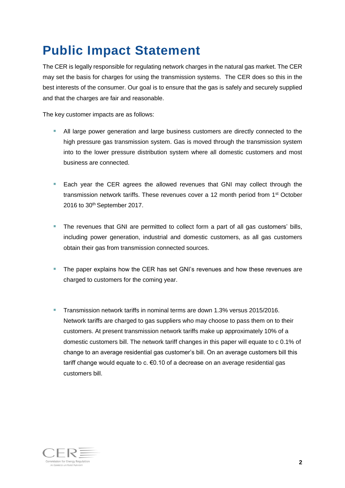## <span id="page-2-0"></span>**Public Impact Statement**

The CER is legally responsible for regulating network charges in the natural gas market. The CER may set the basis for charges for using the transmission systems. The CER does so this in the best interests of the consumer. Our goal is to ensure that the gas is safely and securely supplied and that the charges are fair and reasonable.

The key customer impacts are as follows:

- All large power generation and large business customers are directly connected to the high pressure gas transmission system. Gas is moved through the transmission system into to the lower pressure distribution system where all domestic customers and most business are connected.
- Each year the CER agrees the allowed revenues that GNI may collect through the transmission network tariffs. These revenues cover a 12 month period from 1st October 2016 to 30<sup>th</sup> September 2017.
- The revenues that GNI are permitted to collect form a part of all gas customers' bills, including power generation, industrial and domestic customers, as all gas customers obtain their gas from transmission connected sources.
- The paper explains how the CER has set GNI's revenues and how these revenues are charged to customers for the coming year.
- **Transmission network tariffs in nominal terms are down 1.3% versus 2015/2016.** Network tariffs are charged to gas suppliers who may choose to pass them on to their customers. At present transmission network tariffs make up approximately 10% of a domestic customers bill. The network tariff changes in this paper will equate to c 0.1% of change to an average residential gas customer's bill. On an average customers bill this tariff change would equate to c. €0.10 of a decrease on an average residential gas customers bill.

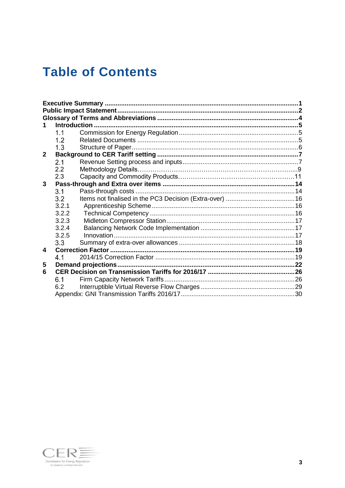## **Table of Contents**

|              | 1.1   |  |
|--------------|-------|--|
|              | 1.2   |  |
|              | 1.3   |  |
| $\mathbf{2}$ |       |  |
|              | 2.1   |  |
|              | 2.2   |  |
|              | 2.3   |  |
| 3            |       |  |
|              | 3.1   |  |
|              | 3.2   |  |
|              | 3.2.1 |  |
|              | 3.2.2 |  |
|              | 3.2.3 |  |
|              | 3.2.4 |  |
|              | 3.2.5 |  |
|              | 3.3   |  |
| 4            |       |  |
|              | 4.1   |  |
| 5            |       |  |
| 6            |       |  |
|              | 6.1   |  |
|              | 6.2   |  |
|              |       |  |

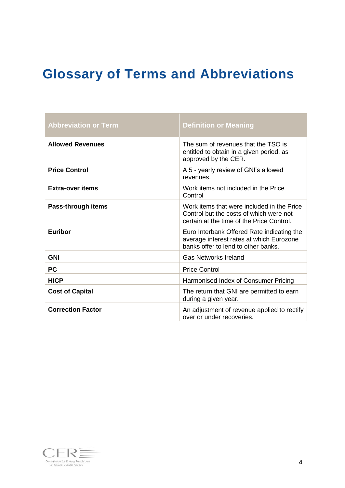## <span id="page-4-0"></span>**Glossary of Terms and Abbreviations**

| <b>Abbreviation or Term</b> | <b>Definition or Meaning</b>                                                                                                       |
|-----------------------------|------------------------------------------------------------------------------------------------------------------------------------|
| <b>Allowed Revenues</b>     | The sum of revenues that the TSO is<br>entitled to obtain in a given period, as<br>approved by the CER.                            |
| <b>Price Control</b>        | A 5 - yearly review of GNI's allowed<br>revenues.                                                                                  |
| Extra-over items            | Work items not included in the Price<br>Control                                                                                    |
| Pass-through items          | Work items that were included in the Price<br>Control but the costs of which were not<br>certain at the time of the Price Control. |
| Euribor                     | Euro Interbank Offered Rate indicating the<br>average interest rates at which Eurozone<br>banks offer to lend to other banks.      |
| <b>GNI</b>                  | <b>Gas Networks Ireland</b>                                                                                                        |
| <b>PC</b>                   | <b>Price Control</b>                                                                                                               |
| <b>HICP</b>                 | Harmonised Index of Consumer Pricing                                                                                               |
| <b>Cost of Capital</b>      | The return that GNI are permitted to earn<br>during a given year.                                                                  |
| <b>Correction Factor</b>    | An adjustment of revenue applied to rectify<br>over or under recoveries.                                                           |

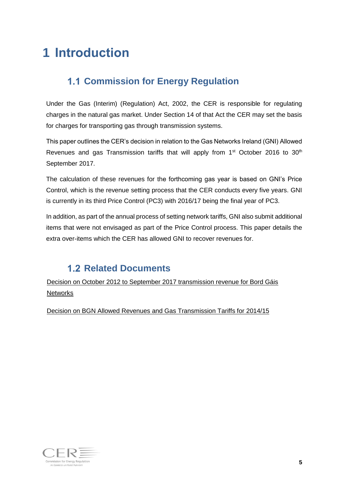## <span id="page-5-1"></span><span id="page-5-0"></span>**1 Introduction**

## **1.1 Commission for Energy Regulation**

Under the Gas (Interim) (Regulation) Act, 2002, the CER is responsible for regulating charges in the natural gas market. Under Section 14 of that Act the CER may set the basis for charges for transporting gas through transmission systems.

This paper outlines the CER's decision in relation to the Gas Networks Ireland (GNI) Allowed Revenues and gas Transmission tariffs that will apply from  $1<sup>st</sup>$  October 2016 to  $30<sup>th</sup>$ September 2017.

The calculation of these revenues for the forthcoming gas year is based on GNI's Price Control, which is the revenue setting process that the CER conducts every five years. GNI is currently in its third Price Control (PC3) with 2016/17 being the final year of PC3.

In addition, as part of the annual process of setting network tariffs, GNI also submit additional items that were not envisaged as part of the Price Control process. This paper details the extra over-items which the CER has allowed GNI to recover revenues for.

### **1.2 Related Documents**

<span id="page-5-2"></span>[Decision on October 2012 to September 2017 transmission revenue for Bord Gáis](http://www.cer.ie/docs/000448/cer12196.pdf)  **[Networks](http://www.cer.ie/docs/000448/cer12196.pdf)** 

[Decision on BGN Allowed Revenues and Gas Transmission Tariffs for 2014/15](https://www.cer.ie/docs/000051/CER14140%20%20Decision%20on%20BGN%20Allowed%20Revenies%20and%20Gas%20Transmission%20Tariffs%20for%202014-15.pdf)

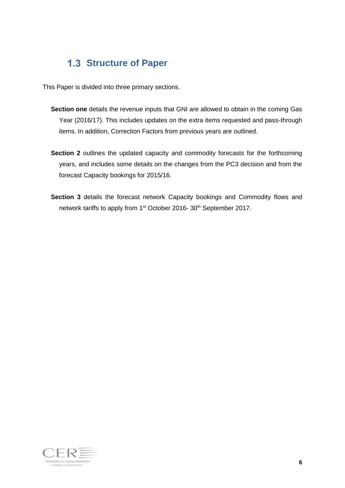### <span id="page-6-0"></span>**1.3 Structure of Paper**

This Paper is divided into three primary sections.

- **Section one** details the revenue inputs that GNI are allowed to obtain in the coming Gas Year (2016/17). This includes updates on the extra items requested and pass-through items. In addition, Correction Factors from previous years are outlined.
- **Section 2** outlines the updated capacity and commodity forecasts for the forthcoming years, and includes some details on the changes from the PC3 decision and from the forecast Capacity bookings for 2015/16.
- **Section 3** details the forecast network Capacity bookings and Commodity flows and network tariffs to apply from 1<sup>st</sup> October 2016- 30<sup>th</sup> September 2017.

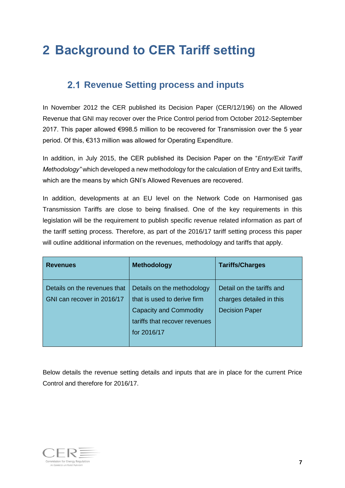## <span id="page-7-0"></span>**2 Background to CER Tariff setting**

### <span id="page-7-1"></span>**2.1 Revenue Setting process and inputs**

In November 2012 the CER published its Decision Paper (CER/12/196) on the Allowed Revenue that GNI may recover over the Price Control period from October 2012-September 2017. This paper allowed €998.5 million to be recovered for Transmission over the 5 year period. Of this, €313 million was allowed for Operating Expenditure.

In addition, in July 2015, the CER published its Decision Paper on the "*Entry/Exit Tariff Methodology"* which developed a new methodology for the calculation of Entry and Exit tariffs, which are the means by which GNI's Allowed Revenues are recovered.

In addition, developments at an EU level on the Network Code on Harmonised gas Transmission Tariffs are close to being finalised. One of the key requirements in this legislation will be the requirement to publish specific revenue related information as part of the tariff setting process. Therefore, as part of the 2016/17 tariff setting process this paper will outline additional information on the revenues, methodology and tariffs that apply.

| <b>Revenues</b>                                            | <b>Methodology</b>                                                                                                                         | <b>Tariffs/Charges</b>                                                         |
|------------------------------------------------------------|--------------------------------------------------------------------------------------------------------------------------------------------|--------------------------------------------------------------------------------|
| Details on the revenues that<br>GNI can recover in 2016/17 | Details on the methodology<br>that is used to derive firm<br><b>Capacity and Commodity</b><br>tariffs that recover revenues<br>for 2016/17 | Detail on the tariffs and<br>charges detailed in this<br><b>Decision Paper</b> |

Below details the revenue setting details and inputs that are in place for the current Price Control and therefore for 2016/17.

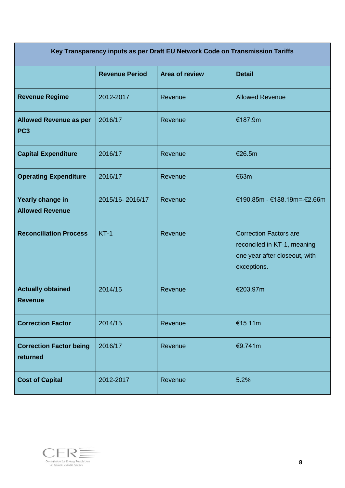| Key Transparency inputs as per Draft EU Network Code on Transmission Tariffs |                       |                       |                                                                                                              |  |
|------------------------------------------------------------------------------|-----------------------|-----------------------|--------------------------------------------------------------------------------------------------------------|--|
|                                                                              | <b>Revenue Period</b> | <b>Area of review</b> | <b>Detail</b>                                                                                                |  |
| <b>Revenue Regime</b>                                                        | 2012-2017             | Revenue               | <b>Allowed Revenue</b>                                                                                       |  |
| <b>Allowed Revenue as per</b><br>PC <sub>3</sub>                             | 2016/17               | Revenue               | €187.9m                                                                                                      |  |
| <b>Capital Expenditure</b>                                                   | 2016/17               | Revenue               | €26.5m                                                                                                       |  |
| <b>Operating Expenditure</b>                                                 | 2016/17               | Revenue               | €63m                                                                                                         |  |
| Yearly change in<br><b>Allowed Revenue</b>                                   | 2015/16-2016/17       | Revenue               | €190.85m - €188.19m=-€2.66m                                                                                  |  |
| <b>Reconciliation Process</b>                                                | $KT-1$                | Revenue               | <b>Correction Factors are</b><br>reconciled in KT-1, meaning<br>one year after closeout, with<br>exceptions. |  |
| <b>Actually obtained</b><br><b>Revenue</b>                                   | 2014/15               | Revenue               | €203.97m                                                                                                     |  |
| <b>Correction Factor</b>                                                     | 2014/15               | Revenue               | €15.11m                                                                                                      |  |
| <b>Correction Factor being</b><br>returned                                   | 2016/17               | Revenue               | €9.741m                                                                                                      |  |
| <b>Cost of Capital</b>                                                       | 2012-2017             | Revenue               | 5.2%                                                                                                         |  |

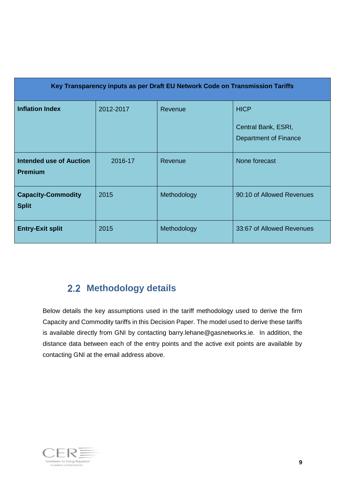| Key Transparency inputs as per Draft EU Network Code on Transmission Tariffs |           |             |                                                             |  |
|------------------------------------------------------------------------------|-----------|-------------|-------------------------------------------------------------|--|
| <b>Inflation Index</b>                                                       | 2012-2017 | Revenue     | <b>HICP</b><br>Central Bank, ESRI,<br>Department of Finance |  |
| <b>Intended use of Auction</b><br><b>Premium</b>                             | 2016-17   | Revenue     | None forecast                                               |  |
| <b>Capacity-Commodity</b><br><b>Split</b>                                    | 2015      | Methodology | 90:10 of Allowed Revenues                                   |  |
| <b>Entry-Exit split</b>                                                      | 2015      | Methodology | 33:67 of Allowed Revenues                                   |  |

## **2.2 Methodology details**

Below details the key assumptions used in the tariff methodology used to derive the firm Capacity and Commodity tariffs in this Decision Paper. The model used to derive these tariffs is available directly from GNI by contacting [barry.lehane@gasnetworks.ie.](mailto:barry.lehane@gasnetworks.ie) In addition, the distance data between each of the entry points and the active exit points are available by contacting GNI at the email address above.

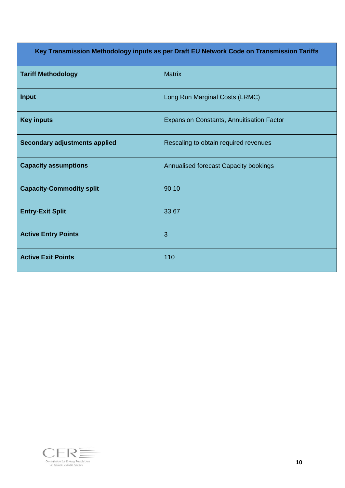| Key Transmission Methodology inputs as per Draft EU Network Code on Transmission Tariffs |                                                  |  |  |
|------------------------------------------------------------------------------------------|--------------------------------------------------|--|--|
| <b>Tariff Methodology</b>                                                                | <b>Matrix</b>                                    |  |  |
| Input                                                                                    | Long Run Marginal Costs (LRMC)                   |  |  |
| <b>Key inputs</b>                                                                        | <b>Expansion Constants, Annuitisation Factor</b> |  |  |
| <b>Secondary adjustments applied</b>                                                     | Rescaling to obtain required revenues            |  |  |
| <b>Capacity assumptions</b>                                                              | Annualised forecast Capacity bookings            |  |  |
| <b>Capacity-Commodity split</b>                                                          | 90:10                                            |  |  |
| <b>Entry-Exit Split</b>                                                                  | 33:67                                            |  |  |
| <b>Active Entry Points</b>                                                               | 3                                                |  |  |
| <b>Active Exit Points</b>                                                                | 110                                              |  |  |

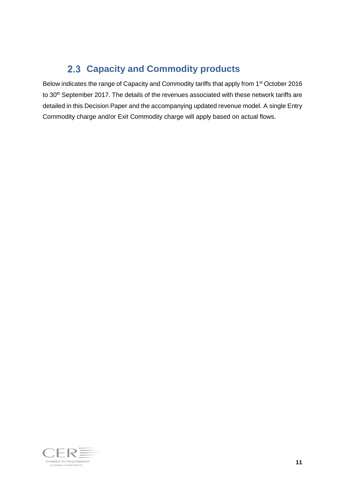## **Capacity and Commodity products**

Below indicates the range of Capacity and Commodity tariffs that apply from 1<sup>st</sup> October 2016 to 30<sup>th</sup> September 2017. The details of the revenues associated with these network tariffs are detailed in this Decision Paper and the accompanying updated revenue model. A single Entry Commodity charge and/or Exit Commodity charge will apply based on actual flows.

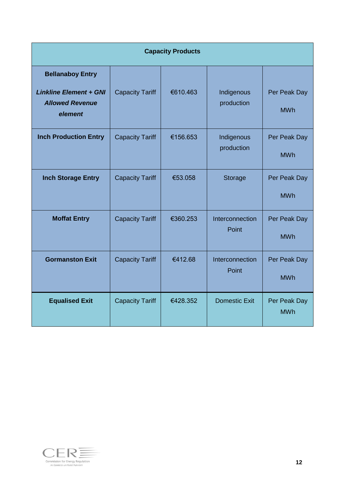|                                                                                               | <b>Capacity Products</b> |          |                          |                            |  |
|-----------------------------------------------------------------------------------------------|--------------------------|----------|--------------------------|----------------------------|--|
| <b>Bellanaboy Entry</b><br><b>Linkline Element + GNI</b><br><b>Allowed Revenue</b><br>element | <b>Capacity Tariff</b>   | €610.463 | Indigenous<br>production | Per Peak Day<br><b>MWh</b> |  |
| <b>Inch Production Entry</b>                                                                  | <b>Capacity Tariff</b>   | €156.653 | Indigenous<br>production | Per Peak Day<br><b>MWh</b> |  |
| <b>Inch Storage Entry</b>                                                                     | <b>Capacity Tariff</b>   | €53.058  | Storage                  | Per Peak Day<br><b>MWh</b> |  |
| <b>Moffat Entry</b>                                                                           | <b>Capacity Tariff</b>   | €360.253 | Interconnection<br>Point | Per Peak Day<br><b>MWh</b> |  |
| <b>Gormanston Exit</b>                                                                        | <b>Capacity Tariff</b>   | €412.68  | Interconnection<br>Point | Per Peak Day<br><b>MWh</b> |  |
| <b>Equalised Exit</b>                                                                         | <b>Capacity Tariff</b>   | €428.352 | <b>Domestic Exit</b>     | Per Peak Day<br><b>MWh</b> |  |

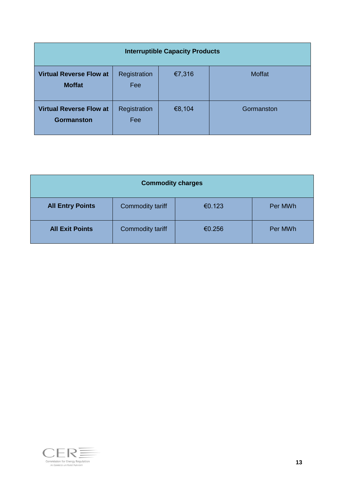| <b>Interruptible Capacity Products</b>              |                     |        |               |  |
|-----------------------------------------------------|---------------------|--------|---------------|--|
| <b>Virtual Reverse Flow at</b><br><b>Moffat</b>     | Registration<br>Fee | €7,316 | <b>Moffat</b> |  |
| <b>Virtual Reverse Flow at</b><br><b>Gormanston</b> | Registration<br>Fee | €8,104 | Gormanston    |  |

| <b>Commodity charges</b> |                  |        |         |  |
|--------------------------|------------------|--------|---------|--|
| <b>All Entry Points</b>  | Commodity tariff | €0.123 | Per MWh |  |
| <b>All Exit Points</b>   | Commodity tariff | €0.256 | Per MWh |  |

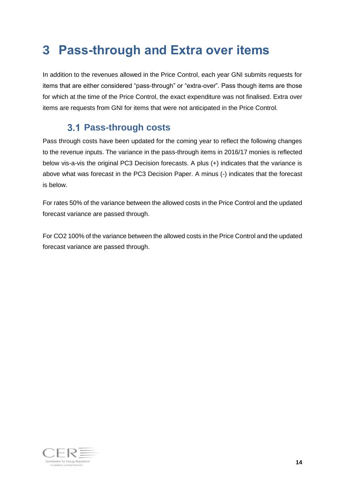## <span id="page-14-0"></span>**3 Pass-through and Extra over items**

In addition to the revenues allowed in the Price Control, each year GNI submits requests for items that are either considered "pass-through" or "extra-over". Pass though items are those for which at the time of the Price Control, the exact expenditure was not finalised. Extra over items are requests from GNI for items that were not anticipated in the Price Control.

### **Pass-through costs**

<span id="page-14-1"></span>Pass through costs have been updated for the coming year to reflect the following changes to the revenue inputs. The variance in the pass-through items in 2016/17 monies is reflected below vis-a-vis the original PC3 Decision forecasts. A plus (+) indicates that the variance is above what was forecast in the PC3 Decision Paper. A minus (-) indicates that the forecast is below.

For rates 50% of the variance between the allowed costs in the Price Control and the updated forecast variance are passed through.

For CO2 100% of the variance between the allowed costs in the Price Control and the updated forecast variance are passed through.

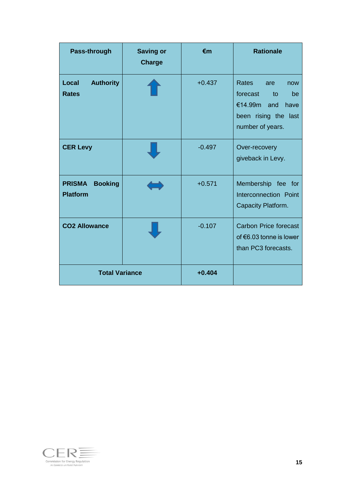| Pass-through                                       | <b>Saving or</b><br><b>Charge</b> | $\epsilon$ m | <b>Rationale</b>                                                                                                            |
|----------------------------------------------------|-----------------------------------|--------------|-----------------------------------------------------------------------------------------------------------------------------|
| <b>Authority</b><br>Local<br><b>Rates</b>          |                                   | $+0.437$     | <b>Rates</b><br>are<br>now<br>forecast<br>to<br>be<br>€14.99m<br>have<br>and<br>been rising the<br>last<br>number of years. |
| <b>CER Levy</b>                                    |                                   | $-0.497$     | Over-recovery<br>giveback in Levy.                                                                                          |
| <b>PRISMA</b><br><b>Booking</b><br><b>Platform</b> |                                   | $+0.571$     | Membership fee for<br>Interconnection Point<br>Capacity Platform.                                                           |
| <b>CO2 Allowance</b>                               |                                   | $-0.107$     | <b>Carbon Price forecast</b><br>of $€6.03$ tonne is lower<br>than PC3 forecasts.                                            |
| <b>Total Variance</b>                              |                                   | $+0.404$     |                                                                                                                             |

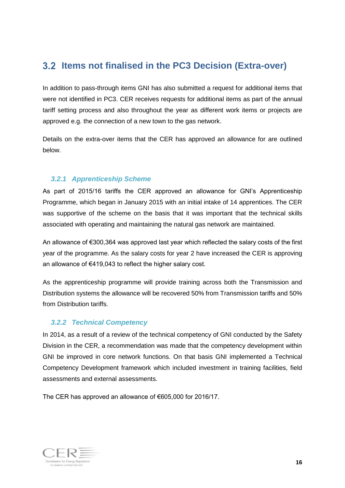### <span id="page-16-0"></span>**3.2 Items not finalised in the PC3 Decision (Extra-over)**

In addition to pass-through items GNI has also submitted a request for additional items that were not identified in PC3. CER receives requests for additional items as part of the annual tariff setting process and also throughout the year as different work items or projects are approved e.g. the connection of a new town to the gas network.

Details on the extra-over items that the CER has approved an allowance for are outlined below.

#### <span id="page-16-1"></span>*3.2.1 Apprenticeship Scheme*

As part of 2015/16 tariffs the CER approved an allowance for GNI's Apprenticeship Programme, which began in January 2015 with an initial intake of 14 apprentices. The CER was supportive of the scheme on the basis that it was important that the technical skills associated with operating and maintaining the natural gas network are maintained.

An allowance of €300,364 was approved last year which reflected the salary costs of the first year of the programme. As the salary costs for year 2 have increased the CER is approving an allowance of €419,043 to reflect the higher salary cost.

As the apprenticeship programme will provide training across both the Transmission and Distribution systems the allowance will be recovered 50% from Transmission tariffs and 50% from Distribution tariffs.

#### <span id="page-16-2"></span>*3.2.2 Technical Competency*

In 2014, as a result of a review of the technical competency of GNI conducted by the Safety Division in the CER, a recommendation was made that the competency development within GNI be improved in core network functions. On that basis GNI implemented a Technical Competency Development framework which included investment in training facilities, field assessments and external assessments.

The CER has approved an allowance of €605,000 for 2016/17.

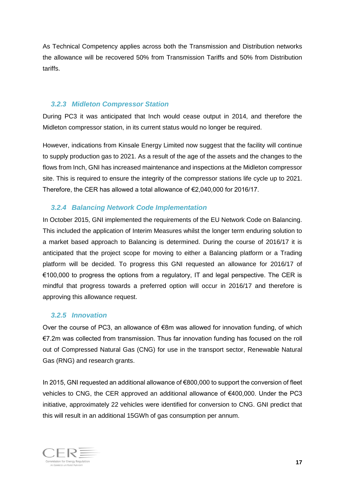As Technical Competency applies across both the Transmission and Distribution networks the allowance will be recovered 50% from Transmission Tariffs and 50% from Distribution tariffs.

#### <span id="page-17-0"></span>*3.2.3 Midleton Compressor Station*

During PC3 it was anticipated that Inch would cease output in 2014, and therefore the Midleton compressor station, in its current status would no longer be required.

However, indications from Kinsale Energy Limited now suggest that the facility will continue to supply production gas to 2021. As a result of the age of the assets and the changes to the flows from Inch, GNI has increased maintenance and inspections at the Midleton compressor site. This is required to ensure the integrity of the compressor stations life cycle up to 2021. Therefore, the CER has allowed a total allowance of €2,040,000 for 2016/17.

#### <span id="page-17-1"></span>*3.2.4 Balancing Network Code Implementation*

In October 2015, GNI implemented the requirements of the EU Network Code on Balancing. This included the application of Interim Measures whilst the longer term enduring solution to a market based approach to Balancing is determined. During the course of 2016/17 it is anticipated that the project scope for moving to either a Balancing platform or a Trading platform will be decided. To progress this GNI requested an allowance for 2016/17 of  $€100,000$  to progress the options from a regulatory, IT and legal perspective. The CER is mindful that progress towards a preferred option will occur in 2016/17 and therefore is approving this allowance request.

#### <span id="page-17-2"></span>*3.2.5 Innovation*

Over the course of PC3, an allowance of  $\epsilon$ 8m was allowed for innovation funding, of which €7.2m was collected from transmission. Thus far innovation funding has focused on the roll out of Compressed Natural Gas (CNG) for use in the transport sector, Renewable Natural Gas (RNG) and research grants.

In 2015, GNI requested an additional allowance of €800,000 to support the conversion of fleet vehicles to CNG, the CER approved an additional allowance of €400,000. Under the PC3 initiative, approximately 22 vehicles were identified for conversion to CNG. GNI predict that this will result in an additional 15GWh of gas consumption per annum.

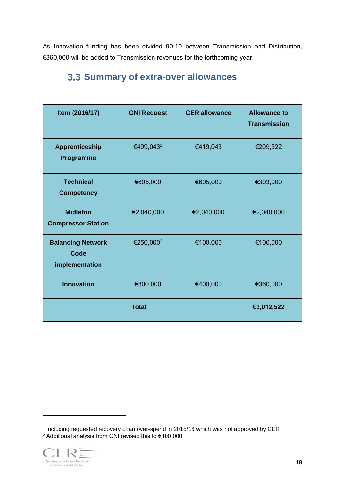As Innovation funding has been divided 90:10 between Transmission and Distribution, €360,000 will be added to Transmission revenues for the forthcoming year.

| Item (2016/17)                                     | <b>GNI Request</b>    | <b>CER allowance</b> | <b>Allowance to</b><br><b>Transmission</b> |
|----------------------------------------------------|-----------------------|----------------------|--------------------------------------------|
| <b>Apprenticeship</b><br><b>Programme</b>          | €499,0431             | €419,043             | €209,522                                   |
| <b>Technical</b><br><b>Competency</b>              | €605,000              | €605,000             | €303,000                                   |
| <b>Midleton</b><br><b>Compressor Station</b>       | €2,040,000            | €2,040,000           | €2,040,000                                 |
| <b>Balancing Network</b><br>Code<br>implementation | €250,000 <sup>2</sup> | €100,000             | €100,000                                   |
| <b>Innovation</b>                                  | €800,000              | €400,000             | €360,000                                   |
|                                                    |                       | €3,012,522           |                                            |

### <span id="page-18-0"></span>**Summary of extra-over allowances**

<sup>1</sup> Including requested recovery of an over-spend in 2015/16 which was not approved by CER <sup>2</sup> Additional analysis from GNI revised this to €100,000

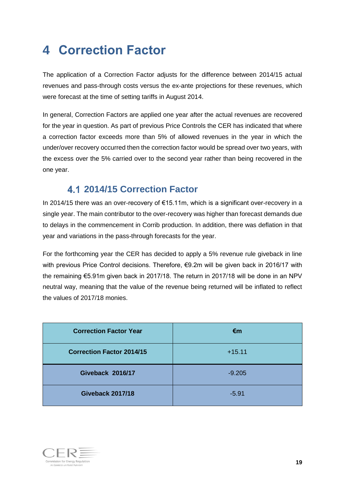## <span id="page-19-0"></span>**4 Correction Factor**

The application of a Correction Factor adjusts for the difference between 2014/15 actual revenues and pass-through costs versus the ex-ante projections for these revenues, which were forecast at the time of setting tariffs in August 2014.

In general, Correction Factors are applied one year after the actual revenues are recovered for the year in question. As part of previous Price Controls the CER has indicated that where a correction factor exceeds more than 5% of allowed revenues in the year in which the under/over recovery occurred then the correction factor would be spread over two years, with the excess over the 5% carried over to the second year rather than being recovered in the one year.

### **2014/15 Correction Factor**

<span id="page-19-1"></span>In 2014/15 there was an over-recovery of €15.11m, which is a significant over-recovery in a single year. The main contributor to the over-recovery was higher than forecast demands due to delays in the commencement in Corrib production. In addition, there was deflation in that year and variations in the pass-through forecasts for the year.

For the forthcoming year the CER has decided to apply a 5% revenue rule giveback in line with previous Price Control decisions. Therefore, €9.2m will be given back in 2016/17 with the remaining €5.91m given back in 2017/18. The return in 2017/18 will be done in an NPV neutral way, meaning that the value of the revenue being returned will be inflated to reflect the values of 2017/18 monies.

| <b>Correction Factor Year</b>    | €m       |
|----------------------------------|----------|
| <b>Correction Factor 2014/15</b> | $+15.11$ |
| <b>Giveback 2016/17</b>          | $-9.205$ |
| <b>Giveback 2017/18</b>          | $-5.91$  |

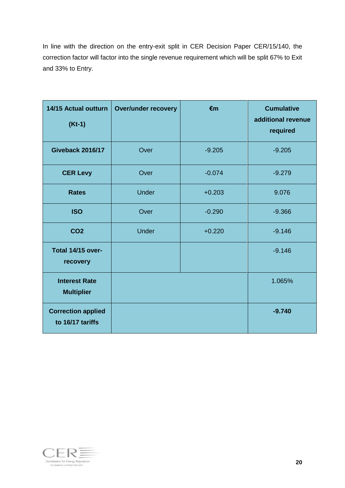In line with the direction on the entry-exit split in CER Decision Paper CER/15/140, the correction factor will factor into the single revenue requirement which will be split 67% to Exit and 33% to Entry.

| 14/15 Actual outturn<br>$(Kt-1)$              | <b>Over/under recovery</b> | €m       | <b>Cumulative</b><br>additional revenue<br>required |
|-----------------------------------------------|----------------------------|----------|-----------------------------------------------------|
| <b>Giveback 2016/17</b>                       | Over                       | $-9.205$ | $-9.205$                                            |
| <b>CER Levy</b>                               | Over                       | $-0.074$ | $-9.279$                                            |
| <b>Rates</b>                                  | <b>Under</b>               | $+0.203$ | 9.076                                               |
| <b>ISO</b>                                    | Over                       | $-0.290$ | $-9.366$                                            |
| CO <sub>2</sub>                               | <b>Under</b>               | $+0.220$ | $-9.146$                                            |
| Total 14/15 over-<br>recovery                 |                            |          | $-9.146$                                            |
| <b>Interest Rate</b><br><b>Multiplier</b>     |                            |          | 1.065%                                              |
| <b>Correction applied</b><br>to 16/17 tariffs |                            |          | $-9.740$                                            |

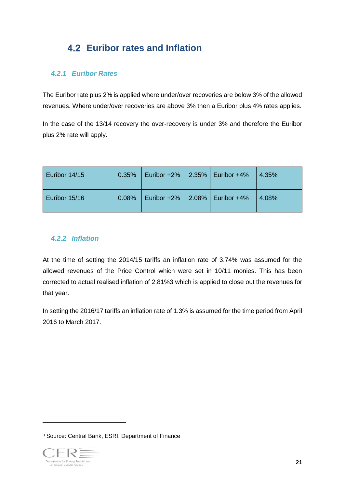## **Euribor rates and Inflation**

#### *4.2.1 Euribor Rates*

The Euribor rate plus 2% is applied where under/over recoveries are below 3% of the allowed revenues. Where under/over recoveries are above 3% then a Euribor plus 4% rates applies.

In the case of the 13/14 recovery the over-recovery is under 3% and therefore the Euribor plus 2% rate will apply.

| Euribor 14/15 | 0.35% | Euribor +2%   2.35%   Euribor +4% |  | 4.35% |
|---------------|-------|-----------------------------------|--|-------|
| Euribor 15/16 | 0.08% | Euribor +2%   2.08%   Euribor +4% |  | 4.08% |

#### *4.2.2 Inflation*

At the time of setting the 2014/15 tariffs an inflation rate of 3.74% was assumed for the allowed revenues of the Price Control which were set in 10/11 monies. This has been corrected to actual realised inflation of 2.81%3 which is applied to close out the revenues for that year.

In setting the 2016/17 tariffs an inflation rate of 1.3% is assumed for the time period from April 2016 to March 2017.

<sup>3</sup> Source: Central Bank, ESRI, Department of Finance

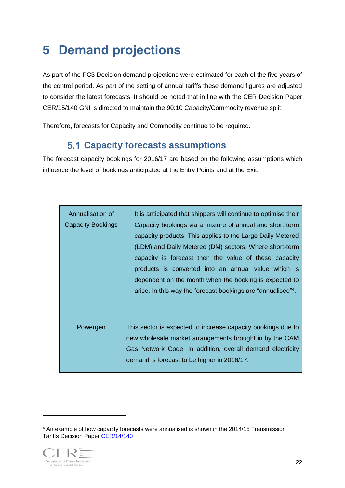## <span id="page-22-0"></span>**5 Demand projections**

As part of the PC3 Decision demand projections were estimated for each of the five years of the control period. As part of the setting of annual tariffs these demand figures are adjusted to consider the latest forecasts. It should be noted that in line with the CER Decision Paper CER/15/140 GNI is directed to maintain the 90:10 Capacity/Commodity revenue split.

Therefore, forecasts for Capacity and Commodity continue to be required.

### **Capacity forecasts assumptions**

The forecast capacity bookings for 2016/17 are based on the following assumptions which influence the level of bookings anticipated at the Entry Points and at the Exit.

| Annualisation of<br><b>Capacity Bookings</b> | It is anticipated that shippers will continue to optimise their<br>Capacity bookings via a mixture of annual and short term<br>capacity products. This applies to the Large Daily Metered<br>(LDM) and Daily Metered (DM) sectors. Where short-term<br>capacity is forecast then the value of these capacity<br>products is converted into an annual value which is<br>dependent on the month when the booking is expected to<br>arise. In this way the forecast bookings are "annualised" <sup>4</sup> . |
|----------------------------------------------|-----------------------------------------------------------------------------------------------------------------------------------------------------------------------------------------------------------------------------------------------------------------------------------------------------------------------------------------------------------------------------------------------------------------------------------------------------------------------------------------------------------|
| Powergen                                     | This sector is expected to increase capacity bookings due to<br>new wholesale market arrangements brought in by the CAM<br>Gas Network Code. In addition, overall demand electricity<br>demand is forecast to be higher in 2016/17.                                                                                                                                                                                                                                                                       |

<sup>4</sup> An example of how capacity forecasts were annualised is shown in the 2014/15 Transmission Tariffs Decision Paper [CER/14/140](https://www.cer.ie/docs/000051/CER14140%20%20Decision%20on%20BGN%20Allowed%20Revenies%20and%20Gas%20Transmission%20Tariffs%20for%202014-15.pdf)

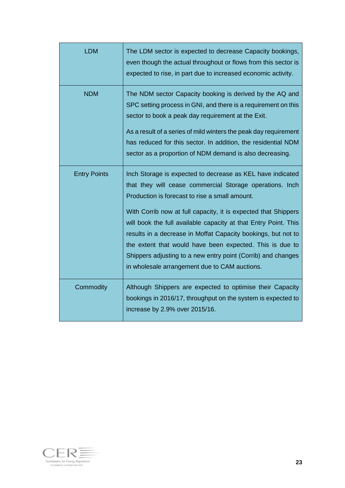| <b>LDM</b>          | The LDM sector is expected to decrease Capacity bookings,<br>even though the actual throughout or flows from this sector is<br>expected to rise, in part due to increased economic activity.                                                                                                                                                                                                                                                                                                                                                                |
|---------------------|-------------------------------------------------------------------------------------------------------------------------------------------------------------------------------------------------------------------------------------------------------------------------------------------------------------------------------------------------------------------------------------------------------------------------------------------------------------------------------------------------------------------------------------------------------------|
| <b>NDM</b>          | The NDM sector Capacity booking is derived by the AQ and<br>SPC setting process in GNI, and there is a requirement on this<br>sector to book a peak day requirement at the Exit.<br>As a result of a series of mild winters the peak day requirement<br>has reduced for this sector. In addition, the residential NDM<br>sector as a proportion of NDM demand is also decreasing.                                                                                                                                                                           |
| <b>Entry Points</b> | Inch Storage is expected to decrease as KEL have indicated<br>that they will cease commercial Storage operations. Inch<br>Production is forecast to rise a small amount.<br>With Corrib now at full capacity, it is expected that Shippers<br>will book the full available capacity at that Entry Point. This<br>results in a decrease in Moffat Capacity bookings, but not to<br>the extent that would have been expected. This is due to<br>Shippers adjusting to a new entry point (Corrib) and changes<br>in wholesale arrangement due to CAM auctions. |
| Commodity           | Although Shippers are expected to optimise their Capacity<br>bookings in 2016/17, throughput on the system is expected to<br>increase by 2.9% over 2015/16.                                                                                                                                                                                                                                                                                                                                                                                                 |

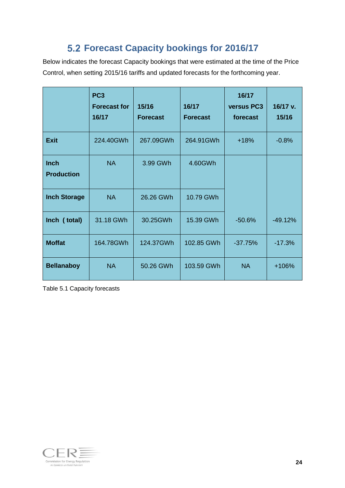## **Forecast Capacity bookings for 2016/17**

Below indicates the forecast Capacity bookings that were estimated at the time of the Price Control, when setting 2015/16 tariffs and updated forecasts for the forthcoming year.

|                                  | PC <sub>3</sub><br><b>Forecast for</b><br>16/17 | 15/16<br><b>Forecast</b> | 16/17<br><b>Forecast</b> | 16/17<br>versus PC3<br>forecast | 16/17 v.<br>15/16 |
|----------------------------------|-------------------------------------------------|--------------------------|--------------------------|---------------------------------|-------------------|
| <b>Exit</b>                      | 224.40GWh                                       | 267.09GWh                | 264.91GWh                | $+18%$                          | $-0.8%$           |
| <b>Inch</b><br><b>Production</b> | <b>NA</b>                                       | 3.99 GWh                 | 4.60GWh                  |                                 |                   |
| <b>Inch Storage</b>              | <b>NA</b>                                       | 26.26 GWh                | 10.79 GWh                |                                 |                   |
| Inch (total)                     | 31.18 GWh                                       | 30.25GWh                 | 15.39 GWh                | $-50.6%$                        | $-49.12%$         |
| <b>Moffat</b>                    | 164.78GWh                                       | 124.37GWh                | 102.85 GWh               | $-37.75%$                       | $-17.3%$          |
| <b>Bellanaboy</b>                | <b>NA</b>                                       | 50.26 GWh                | 103.59 GWh               | <b>NA</b>                       | $+106%$           |

Table 5.1 Capacity forecasts

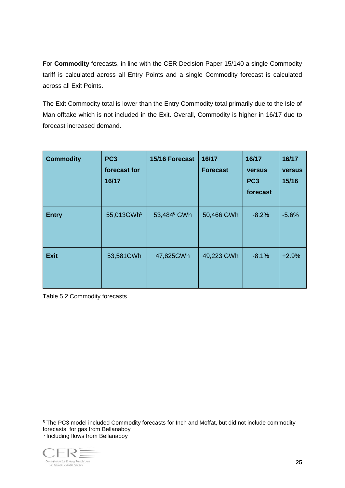For **Commodity** forecasts, in line with the CER Decision Paper 15/140 a single Commodity tariff is calculated across all Entry Points and a single Commodity forecast is calculated across all Exit Points.

The Exit Commodity total is lower than the Entry Commodity total primarily due to the Isle of Man offtake which is not included in the Exit. Overall, Commodity is higher in 16/17 due to forecast increased demand.

| <b>Commodity</b> | PC <sub>3</sub><br>forecast for<br>16/17 | 15/16 Forecast          | 16/17<br><b>Forecast</b> | 16/17<br><b>versus</b><br>PC <sub>3</sub><br>forecast | 16/17<br><b>versus</b><br>15/16 |
|------------------|------------------------------------------|-------------------------|--------------------------|-------------------------------------------------------|---------------------------------|
| <b>Entry</b>     | 55,013GWh <sup>5</sup>                   | 53,484 <sup>6</sup> GWh | 50,466 GWh               | $-8.2%$                                               | $-5.6%$                         |
| <b>Exit</b>      | 53,581GWh                                | 47,825GWh               | 49,223 GWh               | $-8.1%$                                               | $+2.9%$                         |

Table 5.2 Commodity forecasts

<sup>&</sup>lt;sup>5</sup> The PC3 model included Commodity forecasts for lnch and Moffat, but did not include commodity forecasts for gas from Bellanaboy 6 Including flows from Bellanaboy



 $\overline{a}$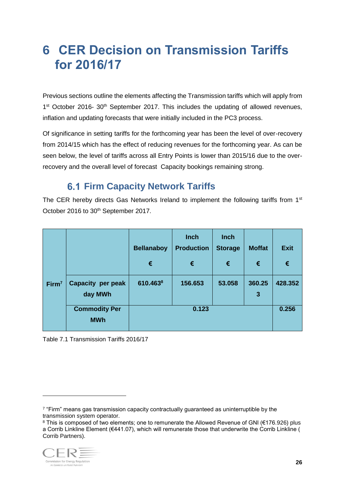## <span id="page-26-0"></span>**6 CER Decision on Transmission Tariffs for 2016/17**

Previous sections outline the elements affecting the Transmission tariffs which will apply from 1<sup>st</sup> October 2016- 30<sup>th</sup> September 2017. This includes the updating of allowed revenues, inflation and updating forecasts that were initially included in the PC3 process.

Of significance in setting tariffs for the forthcoming year has been the level of over-recovery from 2014/15 which has the effect of reducing revenues for the forthcoming year. As can be seen below, the level of tariffs across all Entry Points is lower than 2015/16 due to the overrecovery and the overall level of forecast Capacity bookings remaining strong.

### **6.1 Firm Capacity Network Tariffs**

<span id="page-26-1"></span>The CER hereby directs Gas Networks Ireland to implement the following tariffs from 1<sup>st</sup> October 2016 to 30<sup>th</sup> September 2017.

|                   |                                    | <b>Bellanaboy</b>    | <b>Inch</b><br><b>Production</b> | <b>Inch</b><br><b>Storage</b> | <b>Moffat</b> | <b>Exit</b> |
|-------------------|------------------------------------|----------------------|----------------------------------|-------------------------------|---------------|-------------|
|                   |                                    | €                    | €                                | €                             | €             | €           |
| Firm <sup>7</sup> | Capacity per peak<br>day MWh       | 610.463 <sup>8</sup> | 156.653                          | 53.058                        | 360.25<br>3   | 428.352     |
|                   | <b>Commodity Per</b><br><b>MWh</b> |                      | 0.123                            |                               |               | 0.256       |

Table 7.1 Transmission Tariffs 2016/17

<sup>8</sup> This is composed of two elements; one to remunerate the Allowed Revenue of GNI (€176.926) plus a Corrib Linkline Element (€441.07), which will remunerate those that underwrite the Corrib Linkline ( Corrib Partners).



<sup>7</sup> "Firm" means gas transmission capacity contractually guaranteed as uninterruptible by the transmission system operator.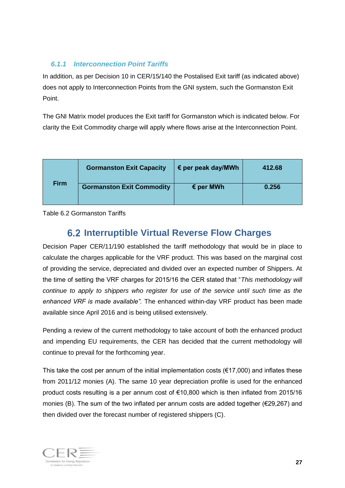#### *6.1.1 Interconnection Point Tariffs*

In addition, as per Decision 10 in CER/15/140 the Postalised Exit tariff (as indicated above) does not apply to Interconnection Points from the GNI system, such the Gormanston Exit Point.

The GNI Matrix model produces the Exit tariff for Gormanston which is indicated below. For clarity the Exit Commodity charge will apply where flows arise at the Interconnection Point.

|             | <b>Gormanston Exit Capacity</b>  | $\epsilon$ per peak day/MWh | 412.68 |
|-------------|----------------------------------|-----------------------------|--------|
| <b>Firm</b> | <b>Gormanston Exit Commodity</b> | $\epsilon$ per MWh          | 0.256  |

Table 6.2 Gormanston Tariffs

### **Interruptible Virtual Reverse Flow Charges**

Decision Paper CER/11/190 established the tariff methodology that would be in place to calculate the charges applicable for the VRF product. This was based on the marginal cost of providing the service, depreciated and divided over an expected number of Shippers. At the time of setting the VRF charges for 2015/16 the CER stated that "*This methodology will continue to apply to shippers who register for use of the service until such time as the enhanced VRF is made available".* The enhanced within-day VRF product has been made available since April 2016 and is being utilised extensively.

Pending a review of the current methodology to take account of both the enhanced product and impending EU requirements, the CER has decided that the current methodology will continue to prevail for the forthcoming year.

This take the cost per annum of the initial implementation costs ( $\epsilon$ 17,000) and inflates these from 2011/12 monies (A). The same 10 year depreciation profile is used for the enhanced product costs resulting is a per annum cost of €10,800 which is then inflated from 2015/16 monies (B). The sum of the two inflated per annum costs are added together (€29,267) and then divided over the forecast number of registered shippers (C).

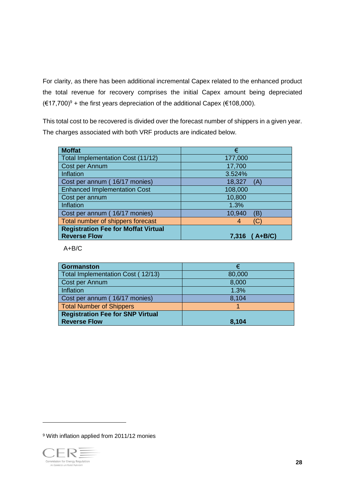For clarity, as there has been additional incremental Capex related to the enhanced product the total revenue for recovery comprises the initial Capex amount being depreciated  $(€17,700)$ <sup>9</sup> + the first years depreciation of the additional Capex (€108,000).

This total cost to be recovered is divided over the forecast number of shippers in a given year. The charges associated with both VRF products are indicated below.

| <b>Moffat</b>                              | €                 |
|--------------------------------------------|-------------------|
| Total Implementation Cost (11/12)          | 177,000           |
| Cost per Annum                             | 17,700            |
| Inflation                                  | 3.524%            |
| Cost per annum (16/17 monies)              | 18,327<br>(A)     |
| <b>Enhanced Implementation Cost</b>        | 108,000           |
| Cost per annum                             | 10,800            |
| Inflation                                  | 1.3%              |
| Cost per annum (16/17 monies)              | 10,940<br>(B)     |
| Total number of shippers forecast          | (C)<br>4          |
| <b>Registration Fee for Moffat Virtual</b> |                   |
| <b>Reverse Flow</b>                        | ( A+B/C)<br>7.316 |

A+B/C

| <b>Gormanston</b>                       |        |
|-----------------------------------------|--------|
| Total Implementation Cost (12/13)       | 80,000 |
| Cost per Annum                          | 8,000  |
| Inflation                               | 1.3%   |
| Cost per annum (16/17 monies)           | 8,104  |
| <b>Total Number of Shippers</b>         |        |
| <b>Registration Fee for SNP Virtual</b> |        |
| <b>Reverse Flow</b>                     | 8,104  |

<sup>9</sup> With inflation applied from 2011/12 monies

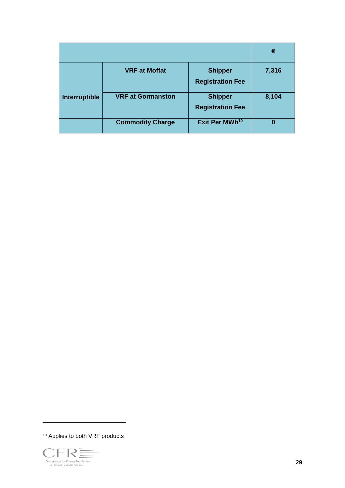<span id="page-29-0"></span>

|               |                          |                                           | €     |
|---------------|--------------------------|-------------------------------------------|-------|
|               | <b>VRF at Moffat</b>     | <b>Shipper</b><br><b>Registration Fee</b> | 7,316 |
| Interruptible | <b>VRF at Gormanston</b> | <b>Shipper</b><br><b>Registration Fee</b> | 8,104 |
|               | <b>Commodity Charge</b>  | Exit Per MWh <sup>10</sup>                | 0     |

<sup>10</sup> Applies to both VRF products